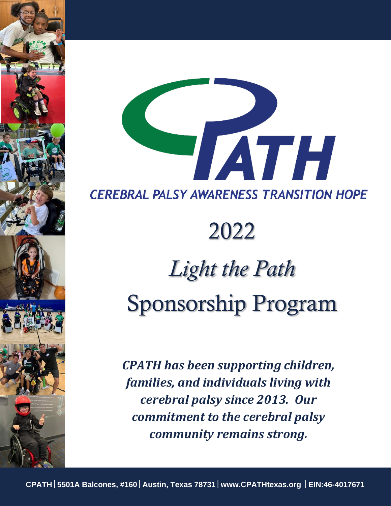

# 2022

## *Light the Path*  Sponsorship Program

*CPATH has been supporting children, families, and individuals living with cerebral palsy since 2013. Our commitment to the cerebral palsy community remains strong.*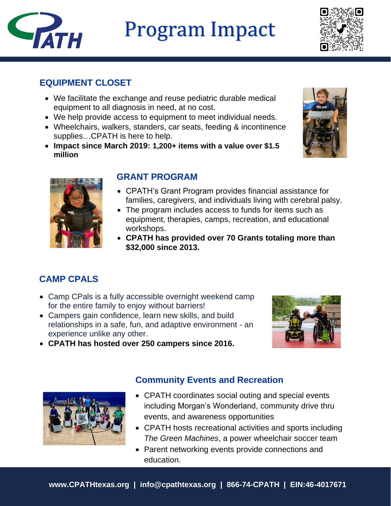## Program Impact



## **EQUIPMENT CLOSET**

**TATH** 

- We facilitate the exchange and reuse pediatric durable medical equipment to all diagnosis in need, at no cost.
- We help provide access to equipment to meet individual needs.
- Wheelchairs, walkers, standers, car seats, feeding & incontinence supplies…CPATH is here to help.
- **Impact since March 2019: 1,200+ items with a value over \$1.5 million**





## **GRANT PROGRAM**

- CPATH's Grant Program provides financial assistance for families, caregivers, and individuals living with cerebral palsy.
- The program includes access to funds for items such as equipment, therapies, camps, recreation, and educational workshops.
- **CPATH has provided over 70 Grants totaling more than \$32,000 since 2013.**

## **CAMP CPALS**

- Camp CPals is a fully accessible overnight weekend camp for the entire family to enjoy without barriers!
- Campers gain confidence, learn new skills, and build relationships in a safe, fun, and adaptive environment - an experience unlike any other.



• **CPATH has hosted over 250 campers since 2016.**



## **Community Events and Recreation**

- CPATH coordinates social outing and special events including Morgan's Wonderland, community drive thru events, and awareness opportunities
- CPATH hosts recreational activities and sports including *The Green Machines*, a power wheelchair soccer team
- Parent networking events provide connections and education.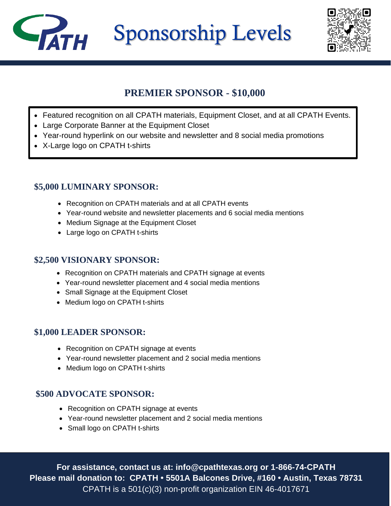Sponsorship Levels



## **PREMIER SPONSOR - \$10,000**

- Featured recognition on all CPATH materials, Equipment Closet, and at all CPATH Events.
- Large Corporate Banner at the Equipment Closet
- Year-round hyperlink on our website and newsletter and 8 social media promotions
- X-Large logo on CPATH t-shirts

**TATH** 

## **\$5,000 LUMINARY SPONSOR:**

- Recognition on CPATH materials and at all CPATH events
- Year-round website and newsletter placements and 6 social media mentions
- Medium Signage at the Equipment Closet
- Large logo on CPATH t-shirts

### **\$2,500 VISIONARY SPONSOR:**

- Recognition on CPATH materials and CPATH signage at events
- Year-round newsletter placement and 4 social media mentions
- Small Signage at the Equipment Closet
- Medium logo on CPATH t-shirts

## **\$1,000 LEADER SPONSOR:**

- Recognition on CPATH signage at events
- Year-round newsletter placement and 2 social media mentions
- Medium logo on CPATH t-shirts

## **\$500 ADVOCATE SPONSOR:**

- Recognition on CPATH signage at events
- Year-round newsletter placement and 2 social media mentions
- Small logo on CPATH t-shirts

**For assistance, contact us at: info@cpathtexas.org or 1-866-74-CPATH Please mail donation to: CPATH • 5501A Balcones Drive, #160 • Austin, Texas 78731** CPATH is a 501(c)(3) non-profit organization EIN 46-4017671